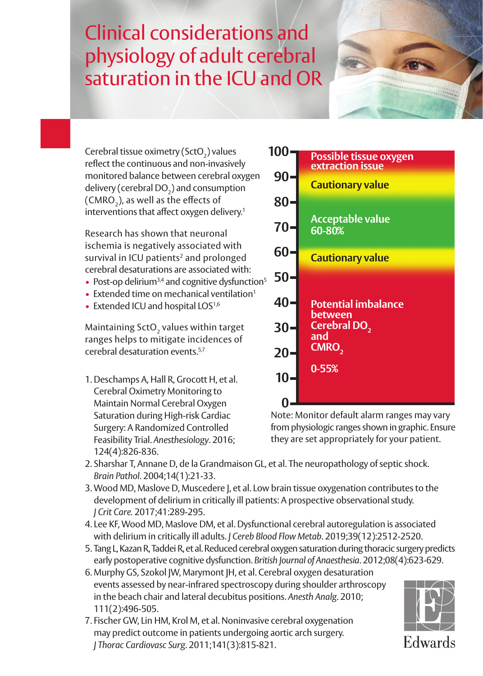## Clinical considerations and physiology of adult cerebral saturation in the ICU and OR



Cerebral tissue oximetry (SctO $_2$ ) values reflect the continuous and non-invasively monitored balance between cerebral oxygen delivery (cerebral DO<sub>2</sub>) and consumption  $(CMRO<sub>2</sub>)$ , as well as the effects of interventions that affect oxygen delivery.<sup>1</sup>

Research has shown that neuronal ischemia is negatively associated with survival in ICU patients<sup>2</sup> and prolonged cerebral desaturations are associated with:

- Post-op delirium<sup>3,4</sup> and cognitive dysfunction<sup>5</sup>
- Extended time on mechanical ventilation<sup>1</sup>
- Extended ICU and hospital LOS<sup>1,6</sup>

Maintaining SctO<sub>2</sub> values within target ranges helps to mitigate incidences of cerebral desaturation events<sup>5,7</sup>

1. Deschamps A, Hall R, Grocott H, et al. Cerebral Oximetry Monitoring to Maintain Normal Cerebral Oxygen Saturation during High-risk Cardiac Surgery: A Randomized Controlled Feasibility Trial. *Anesthesiology*. 2016; 124(4):826-836.



Note: Monitor default alarm ranges may vary from physiologic ranges shown in graphic. Ensure they are set appropriately for your patient.

- 2. Sharshar T, Annane D, de la Grandmaison GL, et al. The neuropathology of septic shock. *Brain Pathol*. 2004;14(1):21-33.
- 3. Wood MD, Maslove D, Muscedere J, et al. Low brain tissue oxygenation contributes to the development of delirium in critically ill patients: A prospective observational study. *J Crit Care.* 2017;41:289-295.
- 4. Lee KF, Wood MD, Maslove DM, et al. Dysfunctional cerebral autoregulation is associated with delirium in critically ill adults. *J Cereb Blood Flow Metab*. 2019;39(12):2512-2520.
- 5. Tang L, Kazan R, Taddei R, et al. Reduced cerebral oxygen saturation during thoracic surgery predicts early postoperative cognitive dysfunction. *British Journal of Anaesthesia*. 2012;08(4):623-629.
- 6. Murphy GS, Szokol JW, Marymont JH, et al. Cerebral oxygen desaturation events assessed by near-infrared spectroscopy during shoulder arthroscopy in the beach chair and lateral decubitus positions. *Anesth Analg*. 2010; 111(2):496-505.
- 7. Fischer GW, Lin HM, Krol M, et al. Noninvasive cerebral oxygenation may predict outcome in patients undergoing aortic arch surgery. *J Thorac Cardiovasc Surg*. 2011;141(3):815-821.

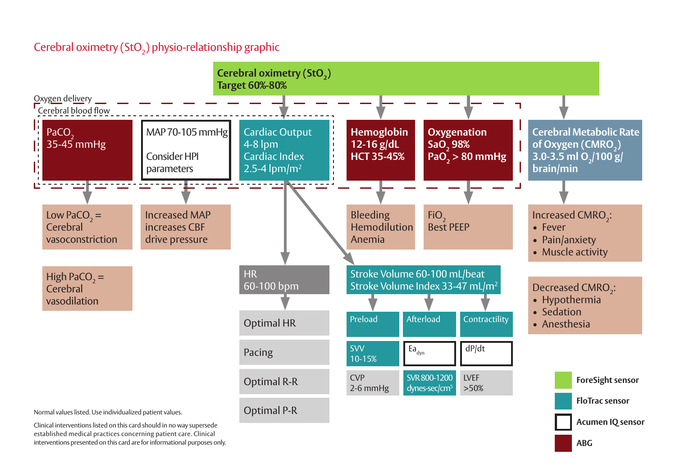## Cerebral oximetry (StO $_{\textrm{\tiny{2}}}$ ) physio-relationship graphic